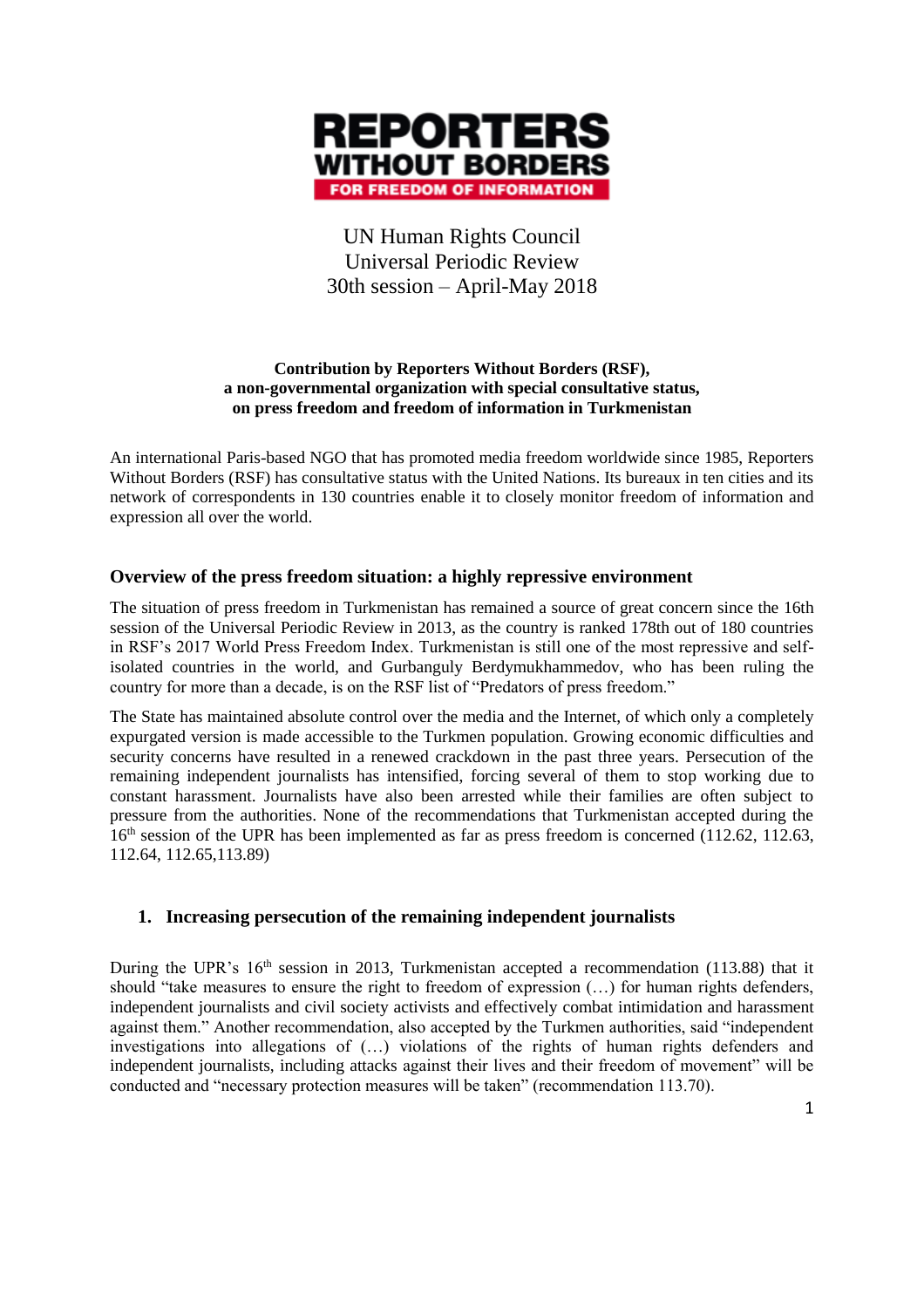

# UN Human Rights Council Universal Periodic Review 30th session – April-May 2018

#### **Contribution by Reporters Without Borders (RSF), a non-governmental organization with special consultative status, on press freedom and freedom of information in Turkmenistan**

An international Paris-based NGO that has promoted media freedom worldwide since 1985, Reporters Without Borders (RSF) has consultative status with the United Nations. Its bureaux in ten cities and its network of correspondents in 130 countries enable it to closely monitor freedom of information and expression all over the world.

## **Overview of the press freedom situation: a highly repressive environment**

The situation of press freedom in Turkmenistan has remained a source of great concern since the 16th session of the Universal Periodic Review in 2013, as the country is ranked 178th out of 180 countries in RSF's 2017 World Press Freedom Index. Turkmenistan is still one of the most repressive and selfisolated countries in the world, and Gurbanguly Berdymukhammedov, who has been ruling the country for more than a decade, is on the RSF list of "Predators of press freedom."

The State has maintained absolute control over the media and the Internet, of which only a completely expurgated version is made accessible to the Turkmen population. Growing economic difficulties and security concerns have resulted in a renewed crackdown in the past three years. Persecution of the remaining independent journalists has intensified, forcing several of them to stop working due to constant harassment. Journalists have also been arrested while their families are often subject to pressure from the authorities. None of the recommendations that Turkmenistan accepted during the 16<sup>th</sup> session of the UPR has been implemented as far as press freedom is concerned (112.62, 112.63, 112.64, 112.65,113.89)

#### **1. Increasing persecution of the remaining independent journalists**

During the UPR's 16<sup>th</sup> session in 2013, Turkmenistan accepted a recommendation (113.88) that it should "take measures to ensure the right to freedom of expression (…) for human rights defenders, independent journalists and civil society activists and effectively combat intimidation and harassment against them." Another recommendation, also accepted by the Turkmen authorities, said "independent investigations into allegations of (…) violations of the rights of human rights defenders and independent journalists, including attacks against their lives and their freedom of movement" will be conducted and "necessary protection measures will be taken" (recommendation 113.70).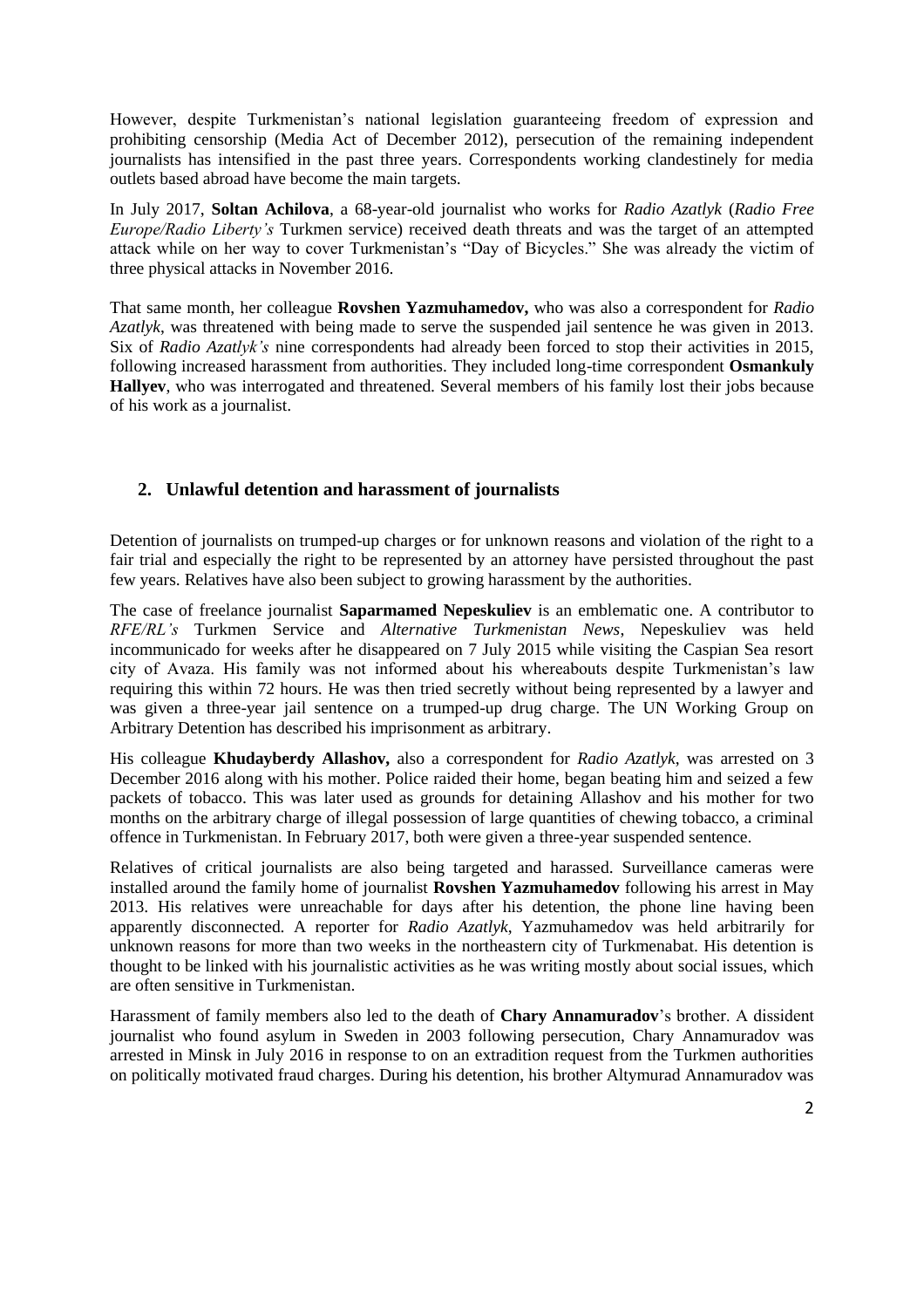However, despite Turkmenistan's national legislation guaranteeing freedom of expression and prohibiting censorship (Media Act of December 2012), persecution of the remaining independent journalists has intensified in the past three years. Correspondents working clandestinely for media outlets based abroad have become the main targets.

In July 2017, **Soltan Achilova**, a 68-year-old journalist who works for *Radio Azatlyk* (*Radio Free Europe/Radio Liberty's* Turkmen service) received death threats and was the target of an attempted attack while on her way to cover Turkmenistan's "Day of Bicycles." She was already the victim of three physical attacks in November 2016.

That same month, her colleague **Rovshen Yazmuhamedov,** who was also a correspondent for *Radio Azatlyk*, was threatened with being made to serve the suspended jail sentence he was given in 2013. Six of *Radio Azatlyk's* nine correspondents had already been forced to stop their activities in 2015, following increased harassment from authorities. They included long-time correspondent **Osmankuly Hallyev**, who was interrogated and threatened. Several members of his family lost their jobs because of his work as a journalist.

#### **2. Unlawful detention and harassment of journalists**

Detention of journalists on trumped-up charges or for unknown reasons and violation of the right to a fair trial and especially the right to be represented by an attorney have persisted throughout the past few years. Relatives have also been subject to growing harassment by the authorities.

The case of freelance journalist **Saparmamed Nepeskuliev** is an emblematic one. A contributor to *RFE/RL's* Turkmen Service and *Alternative Turkmenistan News*, Nepeskuliev was held incommunicado for weeks after he disappeared on 7 July 2015 while visiting the Caspian Sea resort city of Avaza. His family was not informed about his whereabouts despite Turkmenistan's law requiring this within 72 hours. He was then tried secretly without being represented by a lawyer and was given a three-year jail sentence on a trumped-up drug charge. The UN Working Group on Arbitrary Detention has described his imprisonment as arbitrary.

His colleague **Khudayberdy Allashov,** also a correspondent for *Radio Azatlyk*, was arrested on 3 December 2016 along with his mother. Police raided their home, began beating him and seized a few packets of tobacco. This was later used as grounds for detaining Allashov and his mother for two months on the arbitrary charge of illegal possession of large quantities of chewing tobacco, a criminal offence in Turkmenistan. In February 2017, both were given a three-year suspended sentence.

Relatives of critical journalists are also being targeted and harassed. Surveillance cameras were installed around the family home of journalist **Rovshen Yazmuhamedov** following his arrest in May 2013. His relatives were unreachable for days after his detention, the phone line having been apparently disconnected. A reporter for *Radio Azatlyk*, Yazmuhamedov was held arbitrarily for unknown reasons for more than two weeks in the northeastern city of Turkmenabat. His detention is thought to be linked with his journalistic activities as he was writing mostly about social issues, which are often sensitive in Turkmenistan.

Harassment of family members also led to the death of **Chary Annamuradov**'s brother. A dissident journalist who found asylum in Sweden in 2003 following persecution, Chary Annamuradov was arrested in Minsk in July 2016 in response to on an extradition request from the Turkmen authorities on politically motivated fraud charges. During his detention, his brother Altymurad Annamuradov was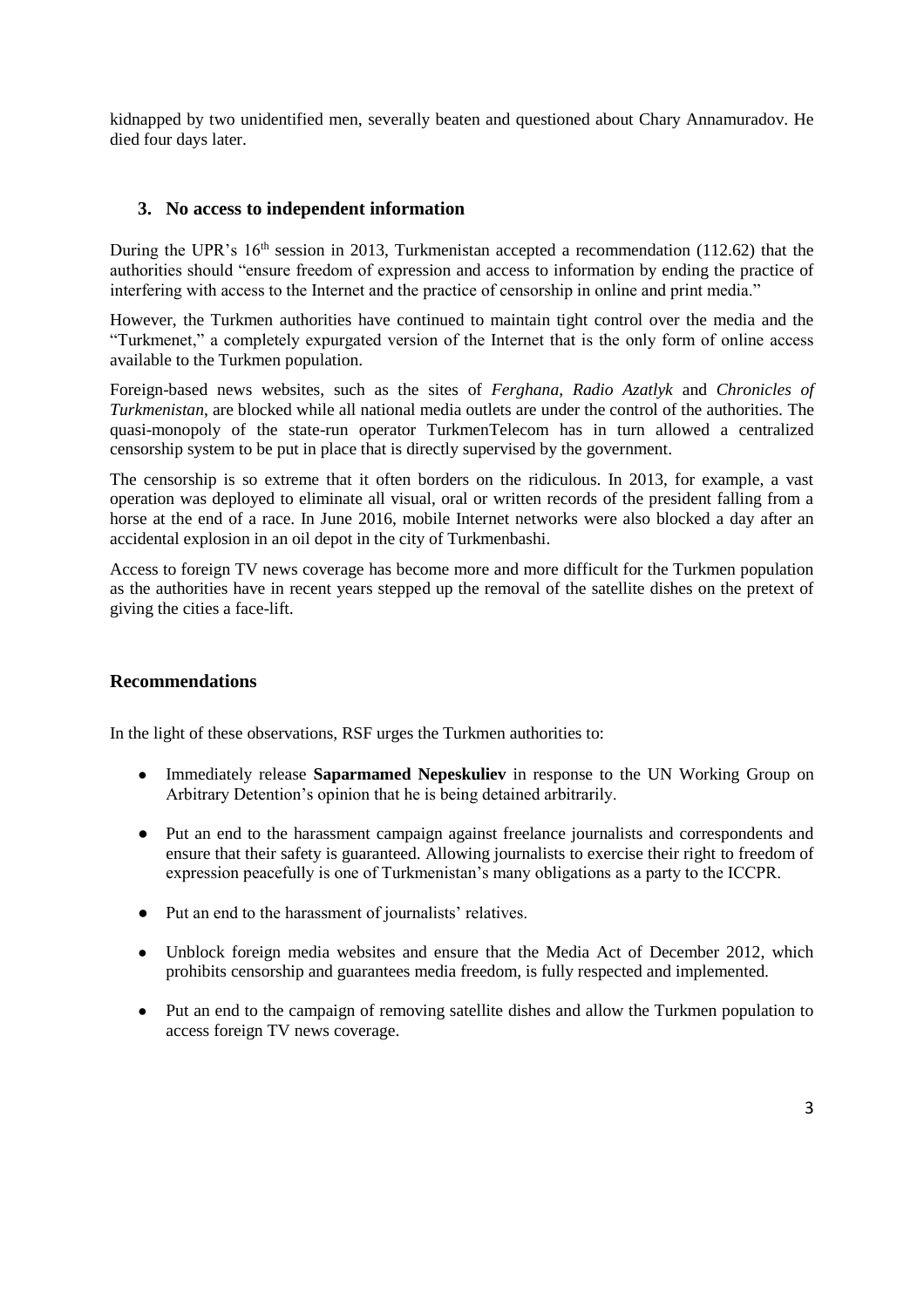kidnapped by two unidentified men, severally beaten and questioned about Chary Annamuradov. He died four days later.

### **3. No access to independent information**

During the UPR's 16<sup>th</sup> session in 2013, Turkmenistan accepted a recommendation (112.62) that the authorities should "ensure freedom of expression and access to information by ending the practice of interfering with access to the Internet and the practice of censorship in online and print media."

However, the Turkmen authorities have continued to maintain tight control over the media and the "Turkmenet," a completely expurgated version of the Internet that is the only form of online access available to the Turkmen population.

Foreign-based news websites, such as the sites of *Ferghana, Radio Azatlyk* and *Chronicles of Turkmenistan*, are blocked while all national media outlets are under the control of the authorities*.* The quasi-monopoly of the state-run operator TurkmenTelecom has in turn allowed a centralized censorship system to be put in place that is directly supervised by the government.

The censorship is so extreme that it often borders on the ridiculous. In 2013, for example, a vast operation was deployed to eliminate all visual, oral or written records of the president falling from a horse at the end of a race. In June 2016, mobile Internet networks were also blocked a day after an accidental explosion in an oil depot in the city of Turkmenbashi.

Access to foreign TV news coverage has become more and more difficult for the Turkmen population as the authorities have in recent years stepped up the removal of the satellite dishes on the pretext of giving the cities a face-lift.

#### **Recommendations**

In the light of these observations, RSF urges the Turkmen authorities to:

- Immediately release **Saparmamed Nepeskuliev** in response to the UN Working Group on Arbitrary Detention's opinion that he is being detained arbitrarily.
- Put an end to the harassment campaign against freelance journalists and correspondents and ensure that their safety is guaranteed. Allowing journalists to exercise their right to freedom of expression peacefully is one of Turkmenistan's many obligations as a party to the ICCPR.
- Put an end to the harassment of journalists' relatives.
- Unblock foreign media websites and ensure that the Media Act of December 2012, which prohibits censorship and guarantees media freedom, is fully respected and implemented.
- Put an end to the campaign of removing satellite dishes and allow the Turkmen population to access foreign TV news coverage.